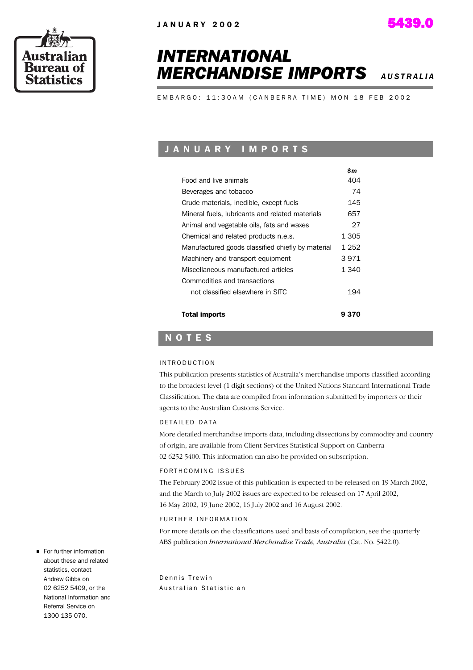



# *INTERNATIONAL* **MERCHANDISE IMPORTS** *AUSTRALIA***</del>**

 *\$m*

EMBARGO: 11:30AM (CANBERRA TIME) MON 18 FEB 2002

## J A N U A R Y I M P O R T S

|                                                   | ъm    |
|---------------------------------------------------|-------|
| Food and live animals                             | 404   |
| Beverages and tobacco                             | 74    |
| Crude materials, inedible, except fuels           | 145   |
| Mineral fuels, lubricants and related materials   | 657   |
| Animal and vegetable oils, fats and waxes         | 27    |
| Chemical and related products n.e.s.              | 1 305 |
| Manufactured goods classified chiefly by material | 1 252 |
| Machinery and transport equipment                 | 3 971 |
| Miscellaneous manufactured articles               | 1 340 |
| Commodities and transactions                      |       |
| not classified elsewhere in SITC                  | 194   |
|                                                   |       |
| <b>Total imports</b>                              | 9370  |

### N O T E S

#### I N T R O D U C T I O N

This publication presents statistics of Australia's merchandise imports classified according to the broadest level (1 digit sections) of the United Nations Standard International Trade Classification. The data are compiled from information submitted by importers or their agents to the Australian Customs Service.

#### D E TAILED DATA

More detailed merchandise imports data, including dissections by commodity and country of origin, are available from Client Services Statistical Support on Canberra 02 6252 5400. This information can also be provided on subscription.

#### FORTH COMING ISSUES

The February 2002 issue of this publication is expected to be released on 19 March 2002, and the March to July 2002 issues are expected to be released on 17 April 2002, 16 May 2002, 19 June 2002, 16 July 2002 and 16 August 2002.

#### FURTHER INFORMATION

For more details on the classifications used and basis of compilation, see the quarterly ABS publication *International Merchandise Trade, Australia* (Cat. No. 5422.0).

Dennis Trewin Australian Statistician

For further information about these and related statistics, contact Andrew Gibbs on 02 6252 5409, or the National Information and Referral Service on 1300 135 070.